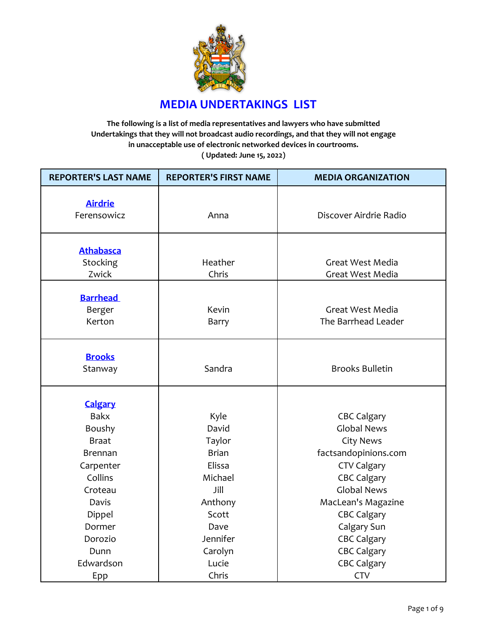

## **MEDIA UNDERTAKINGS LIST**

**The following is a list of media representatives and lawyers who have submitted Undertakings that they will not broadcast audio recordings, and that they will not engage in unacceptable use of electronic networked devices in courtrooms. ( Updated: June 15, 2022)**

| <b>REPORTER'S LAST NAME</b> | <b>REPORTER'S FIRST NAME</b> | <b>MEDIA ORGANIZATION</b>                |
|-----------------------------|------------------------------|------------------------------------------|
|                             |                              |                                          |
| <b>Airdrie</b>              |                              |                                          |
| Ferensowicz                 | Anna                         | Discover Airdrie Radio                   |
|                             |                              |                                          |
|                             |                              |                                          |
| <b>Athabasca</b>            | Heather                      |                                          |
| Stocking<br>Zwick           | Chris                        | Great West Media<br>Great West Media     |
|                             |                              |                                          |
| <b>Barrhead</b>             |                              |                                          |
| Berger                      | Kevin                        | Great West Media                         |
| Kerton                      | Barry                        | The Barrhead Leader                      |
|                             |                              |                                          |
|                             |                              |                                          |
| <b>Brooks</b>               |                              |                                          |
| Stanway                     | Sandra                       | <b>Brooks Bulletin</b>                   |
|                             |                              |                                          |
| <b>Calgary</b>              |                              |                                          |
| <b>Bakx</b>                 | Kyle                         | <b>CBC Calgary</b>                       |
| Boushy                      | David                        | <b>Global News</b>                       |
| <b>Braat</b>                | Taylor                       | <b>City News</b>                         |
| <b>Brennan</b>              | <b>Brian</b>                 | factsandopinions.com                     |
|                             | Elissa                       |                                          |
| Carpenter<br>Collins        | Michael                      | <b>CTV Calgary</b>                       |
|                             | Jill                         | <b>CBC Calgary</b><br><b>Global News</b> |
| Croteau                     |                              |                                          |
| Davis                       | Anthony                      | MacLean's Magazine                       |
| Dippel                      | Scott                        | <b>CBC Calgary</b>                       |
| Dormer                      | Dave                         | Calgary Sun                              |
| Dorozio                     | Jennifer                     | <b>CBC Calgary</b>                       |
| Dunn                        | Carolyn                      | <b>CBC Calgary</b>                       |
| Edwardson                   | Lucie                        | <b>CBC Calgary</b>                       |
| Epp                         | Chris                        | <b>CTV</b>                               |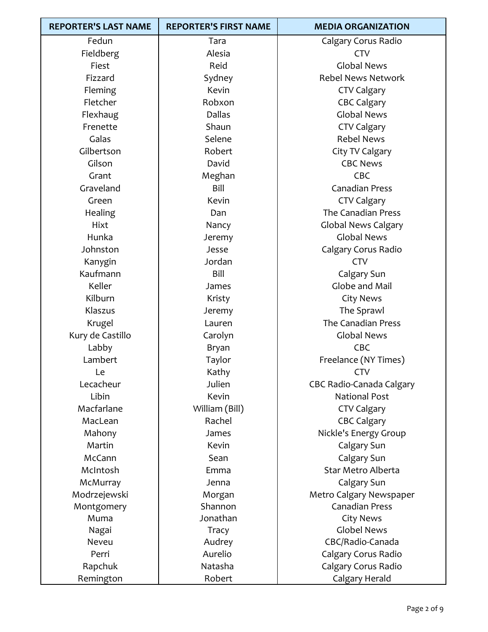| <b>REPORTER'S LAST NAME</b> | <b>REPORTER'S FIRST NAME</b> | <b>MEDIA ORGANIZATION</b>  |
|-----------------------------|------------------------------|----------------------------|
| Fedun                       | Tara                         | Calgary Corus Radio        |
| Fieldberg                   | Alesia                       | <b>CTV</b>                 |
| Fiest                       | Reid                         | <b>Global News</b>         |
| Fizzard                     | Sydney                       | <b>Rebel News Network</b>  |
| Fleming                     | Kevin                        | <b>CTV Calgary</b>         |
| Fletcher                    | Robxon                       | <b>CBC Calgary</b>         |
| Flexhaug                    | <b>Dallas</b>                | <b>Global News</b>         |
| Frenette                    | Shaun                        | <b>CTV Calgary</b>         |
| Galas                       | Selene                       | <b>Rebel News</b>          |
| Gilbertson                  | Robert                       | City TV Calgary            |
| Gilson                      | David                        | <b>CBC News</b>            |
| Grant                       | Meghan                       | <b>CBC</b>                 |
| Graveland                   | Bill                         | <b>Canadian Press</b>      |
| Green                       | Kevin                        | <b>CTV Calgary</b>         |
| Healing                     | Dan                          | The Canadian Press         |
| Hixt                        | Nancy                        | <b>Global News Calgary</b> |
| Hunka                       | Jeremy                       | <b>Global News</b>         |
| Johnston                    | Jesse                        | Calgary Corus Radio        |
| Kanygin                     | Jordan                       | <b>CTV</b>                 |
| Kaufmann                    | Bill                         | Calgary Sun                |
| Keller                      | James                        | Globe and Mail             |
| Kilburn                     | Kristy                       | <b>City News</b>           |
| Klaszus                     | Jeremy                       | The Sprawl                 |
| Krugel                      | Lauren                       | The Canadian Press         |
| Kury de Castillo            | Carolyn                      | <b>Global News</b>         |
| Labby                       | Bryan                        | CBC                        |
| Lambert                     | Taylor                       | Freelance (NY Times)       |
| Le                          | Kathy                        | <b>CTV</b>                 |
| Lecacheur                   | Julien                       | CBC Radio-Canada Calgary   |
| Libin                       | Kevin                        | <b>National Post</b>       |
| Macfarlane                  | William (Bill)               | <b>CTV Calgary</b>         |
| MacLean                     | Rachel                       | <b>CBC Calgary</b>         |
| Mahony                      | James                        | Nickle's Energy Group      |
| Martin                      | Kevin                        | Calgary Sun                |
| McCann                      | Sean                         | Calgary Sun                |
| McIntosh                    | Emma                         | Star Metro Alberta         |
| McMurray                    | Jenna                        | Calgary Sun                |
| Modrzejewski                | Morgan                       | Metro Calgary Newspaper    |
| Montgomery                  | Shannon                      | <b>Canadian Press</b>      |
| Muma                        | Jonathan                     | <b>City News</b>           |
| Nagai                       | Tracy                        | <b>Globel News</b>         |
| Neveu                       | Audrey                       | CBC/Radio-Canada           |
| Perri                       | Aurelio                      | Calgary Corus Radio        |
| Rapchuk                     | Natasha                      | Calgary Corus Radio        |
| Remington                   | Robert                       | Calgary Herald             |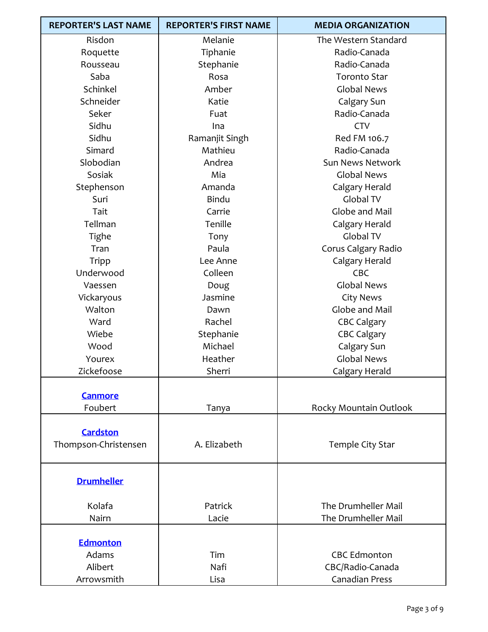| <b>REPORTER'S LAST NAME</b>         | <b>REPORTER'S FIRST NAME</b> | <b>MEDIA ORGANIZATION</b>               |
|-------------------------------------|------------------------------|-----------------------------------------|
| Risdon                              | Melanie                      | The Western Standard                    |
| Roquette                            | Tiphanie                     | Radio-Canada                            |
| Rousseau                            | Stephanie                    | Radio-Canada                            |
| Saba                                | Rosa                         | <b>Toronto Star</b>                     |
| Schinkel                            | Amber                        | <b>Global News</b>                      |
| Schneider                           | Katie                        | Calgary Sun                             |
| Seker                               | Fuat                         | Radio-Canada                            |
| Sidhu                               | Ina                          | <b>CTV</b>                              |
| Sidhu                               | Ramanjit Singh               | Red FM 106.7                            |
| Simard                              | Mathieu                      | Radio-Canada                            |
| Slobodian                           | Andrea                       | Sun News Network                        |
| Sosiak                              | Mia                          | <b>Global News</b>                      |
| Stephenson                          | Amanda                       | Calgary Herald                          |
| Suri                                | <b>Bindu</b>                 | Global TV                               |
| Tait                                | Carrie                       | Globe and Mail                          |
| Tellman                             | Tenille                      | Calgary Herald                          |
| Tighe                               | Tony                         | Global TV                               |
| Tran                                | Paula                        | Corus Calgary Radio                     |
| Tripp                               | Lee Anne                     | Calgary Herald                          |
| Underwood                           | Colleen                      | CBC                                     |
| Vaessen                             | Doug                         | <b>Global News</b>                      |
| Vickaryous                          | Jasmine                      | <b>City News</b>                        |
| Walton                              | Dawn                         | Globe and Mail                          |
| Ward                                | Rachel                       | <b>CBC Calgary</b>                      |
| Wiebe                               | Stephanie                    | <b>CBC Calgary</b>                      |
| Wood                                | Michael                      | Calgary Sun                             |
| Yourex                              | Heather                      | <b>Global News</b>                      |
| Zickefoose                          | Sherri                       | Calgary Herald                          |
| <b>Canmore</b>                      |                              |                                         |
| Foubert                             | Tanya                        | Rocky Mountain Outlook                  |
| Cardston<br>Thompson-Christensen    | A. Elizabeth                 | Temple City Star                        |
| <b>Drumheller</b>                   |                              |                                         |
| Kolafa                              | Patrick                      | The Drumheller Mail                     |
| Nairn                               | Lacie                        | The Drumheller Mail                     |
| <b>Edmonton</b><br>Adams<br>Alibert | Tim<br>Nafi                  | <b>CBC Edmonton</b><br>CBC/Radio-Canada |
| Arrowsmith                          | Lisa                         | <b>Canadian Press</b>                   |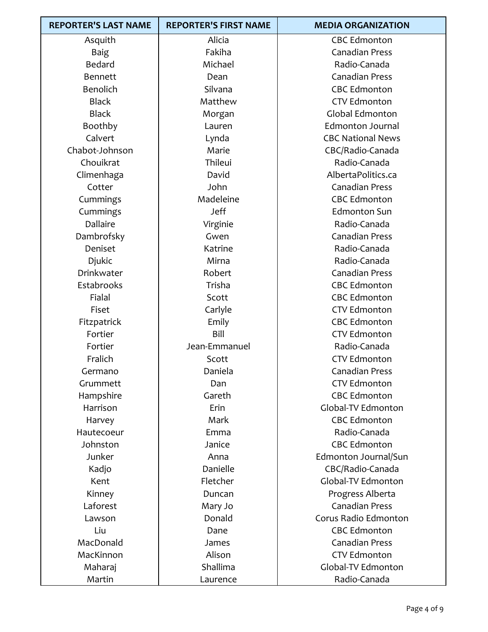| <b>REPORTER'S LAST NAME</b> | <b>REPORTER'S FIRST NAME</b> | <b>MEDIA ORGANIZATION</b> |
|-----------------------------|------------------------------|---------------------------|
| Asquith                     | Alicia                       | <b>CBC Edmonton</b>       |
| <b>Baig</b>                 | Fakiha                       | <b>Canadian Press</b>     |
| Bedard                      | Michael                      | Radio-Canada              |
| <b>Bennett</b>              | Dean                         | <b>Canadian Press</b>     |
| Benolich                    | Silvana                      | <b>CBC Edmonton</b>       |
| <b>Black</b>                | Matthew                      | <b>CTV Edmonton</b>       |
| <b>Black</b>                | Morgan                       | Global Edmonton           |
| Boothby                     | Lauren                       | <b>Edmonton Journal</b>   |
| Calvert                     | Lynda                        | <b>CBC National News</b>  |
| Chabot-Johnson              | Marie                        | CBC/Radio-Canada          |
| Chouikrat                   | Thileui                      | Radio-Canada              |
| Climenhaga                  | David                        | AlbertaPolitics.ca        |
| Cotter                      | John                         | <b>Canadian Press</b>     |
| Cummings                    | Madeleine                    | <b>CBC Edmonton</b>       |
| Cummings                    | <b>Jeff</b>                  | <b>Edmonton Sun</b>       |
| Dallaire                    | Virginie                     | Radio-Canada              |
| Dambrofsky                  | Gwen                         | <b>Canadian Press</b>     |
| Deniset                     | Katrine                      | Radio-Canada              |
| Djukic                      | Mirna                        | Radio-Canada              |
| Drinkwater                  | Robert                       | <b>Canadian Press</b>     |
| Estabrooks                  | Trisha                       | <b>CBC Edmonton</b>       |
| Fialal                      | Scott                        | <b>CBC Edmonton</b>       |
| Fiset                       | Carlyle                      | <b>CTV Edmonton</b>       |
| Fitzpatrick                 | Emily                        | <b>CBC Edmonton</b>       |
| Fortier                     | Bill                         | <b>CTV Edmonton</b>       |
| Fortier                     | Jean-Emmanuel                | Radio-Canada              |
| Fralich                     | Scott                        | <b>CTV Edmonton</b>       |
| Germano                     | Daniela                      | Canadian Press            |
| Grummett                    | Dan                          | <b>CTV Edmonton</b>       |
| Hampshire                   | Gareth                       | <b>CBC Edmonton</b>       |
| Harrison                    | Erin                         | Global-TV Edmonton        |
| Harvey                      | Mark                         | <b>CBC Edmonton</b>       |
| Hautecoeur                  | Emma                         | Radio-Canada              |
| Johnston                    | Janice                       | <b>CBC Edmonton</b>       |
| Junker                      | Anna                         | Edmonton Journal/Sun      |
| Kadjo                       | Danielle                     | CBC/Radio-Canada          |
| Kent                        | Fletcher                     | Global-TV Edmonton        |
| Kinney                      | Duncan                       | Progress Alberta          |
| Laforest                    | Mary Jo                      | <b>Canadian Press</b>     |
| Lawson                      | Donald                       | Corus Radio Edmonton      |
| Liu                         | Dane                         | <b>CBC Edmonton</b>       |
| MacDonald                   | James                        | <b>Canadian Press</b>     |
| MacKinnon                   | Alison                       | <b>CTV Edmonton</b>       |
| Maharaj                     | Shallima                     | Global-TV Edmonton        |
| Martin                      | Laurence                     | Radio-Canada              |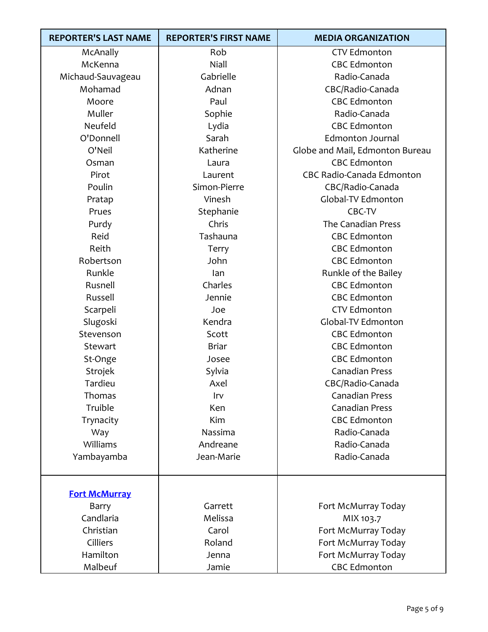| <b>REPORTER'S LAST NAME</b> | <b>REPORTER'S FIRST NAME</b> | <b>MEDIA ORGANIZATION</b>       |
|-----------------------------|------------------------------|---------------------------------|
| McAnally                    | Rob                          | <b>CTV Edmonton</b>             |
| McKenna                     | Niall                        | <b>CBC Edmonton</b>             |
| Michaud-Sauvageau           | Gabrielle                    | Radio-Canada                    |
| Mohamad                     | Adnan                        | CBC/Radio-Canada                |
| Moore                       | Paul                         | <b>CBC Edmonton</b>             |
| Muller                      | Sophie                       | Radio-Canada                    |
| Neufeld                     | Lydia                        | <b>CBC Edmonton</b>             |
| O'Donnell                   | Sarah                        | <b>Edmonton Journal</b>         |
| O'Neil                      | Katherine                    | Globe and Mail, Edmonton Bureau |
| Osman                       | Laura                        | <b>CBC Edmonton</b>             |
| Pirot                       | Laurent                      | CBC Radio-Canada Edmonton       |
| Poulin                      | Simon-Pierre                 | CBC/Radio-Canada                |
| Pratap                      | Vinesh                       | Global-TV Edmonton              |
| Prues                       | Stephanie                    | CBC-TV                          |
| Purdy                       | Chris                        | The Canadian Press              |
| Reid                        | Tashauna                     | <b>CBC Edmonton</b>             |
| Reith                       | Terry                        | <b>CBC Edmonton</b>             |
| Robertson                   | John                         | <b>CBC Edmonton</b>             |
| Runkle                      | lan                          | Runkle of the Bailey            |
| Rusnell                     | Charles                      | <b>CBC Edmonton</b>             |
| Russell                     | Jennie                       | <b>CBC Edmonton</b>             |
| Scarpeli                    | Joe                          | <b>CTV Edmonton</b>             |
| Slugoski                    | Kendra                       | Global-TV Edmonton              |
| Stevenson                   | Scott                        | <b>CBC Edmonton</b>             |
| Stewart                     | <b>Briar</b>                 | <b>CBC Edmonton</b>             |
| St-Onge                     | Josee                        | <b>CBC Edmonton</b>             |
| Strojek                     | Sylvia                       | <b>Canadian Press</b>           |
| Tardieu                     | Axel                         | CBC/Radio-Canada                |
| Thomas                      | Irv                          | <b>Canadian Press</b>           |
| Truible                     | Ken                          | <b>Canadian Press</b>           |
| Trynacity                   | Kim                          | <b>CBC Edmonton</b>             |
| Way                         | Nassima                      | Radio-Canada                    |
| Williams                    | Andreane                     | Radio-Canada                    |
| Yambayamba                  | Jean-Marie                   | Radio-Canada                    |
|                             |                              |                                 |
| <b>Fort McMurray</b>        |                              |                                 |
| Barry                       | Garrett                      | Fort McMurray Today             |
| Candlaria                   | Melissa                      | MIX 103.7                       |
| Christian                   | Carol                        | Fort McMurray Today             |
| Cilliers                    | Roland                       | Fort McMurray Today             |
| Hamilton                    | Jenna                        | Fort McMurray Today             |
| Malbeuf                     | Jamie                        | <b>CBC Edmonton</b>             |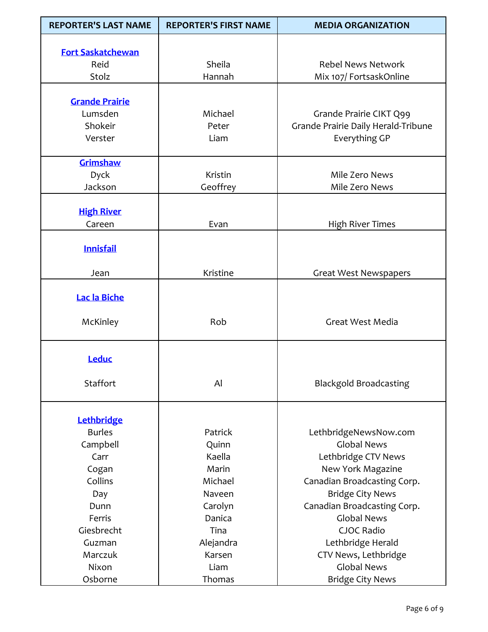| <b>REPORTER'S LAST NAME</b>      | <b>REPORTER'S FIRST NAME</b> | <b>MEDIA ORGANIZATION</b>           |
|----------------------------------|------------------------------|-------------------------------------|
|                                  |                              |                                     |
| <b>Fort Saskatchewan</b><br>Reid | Sheila                       | <b>Rebel News Network</b>           |
| Stolz                            | Hannah                       | Mix 107/ FortsaskOnline             |
|                                  |                              |                                     |
| <b>Grande Prairie</b>            |                              |                                     |
| Lumsden                          | Michael                      | Grande Prairie CIKT Q99             |
| Shokeir                          | Peter                        | Grande Prairie Daily Herald-Tribune |
| Verster                          | Liam                         | Everything GP                       |
|                                  |                              |                                     |
| Grimshaw                         |                              |                                     |
| Dyck                             | <b>Kristin</b>               | Mile Zero News                      |
| Jackson                          | Geoffrey                     | Mile Zero News                      |
|                                  |                              |                                     |
| <b>High River</b>                |                              |                                     |
| Careen                           | Evan                         | <b>High River Times</b>             |
| <b>Innisfail</b>                 |                              |                                     |
|                                  |                              |                                     |
| Jean                             | Kristine                     | <b>Great West Newspapers</b>        |
|                                  |                              |                                     |
| Lac la Biche                     |                              |                                     |
|                                  |                              |                                     |
| McKinley                         | Rob                          | Great West Media                    |
|                                  |                              |                                     |
| Leduc                            |                              |                                     |
|                                  |                              |                                     |
| Staffort                         | Al                           | <b>Blackgold Broadcasting</b>       |
|                                  |                              |                                     |
| <b>Lethbridge</b>                |                              |                                     |
| <b>Burles</b>                    | Patrick                      | LethbridgeNewsNow.com               |
| Campbell                         | Quinn                        | <b>Global News</b>                  |
| Carr                             | Kaella                       | Lethbridge CTV News                 |
| Cogan                            | Marin                        | New York Magazine                   |
| Collins                          | Michael                      | Canadian Broadcasting Corp.         |
| Day                              | Naveen                       | <b>Bridge City News</b>             |
| Dunn                             | Carolyn                      | Canadian Broadcasting Corp.         |
| Ferris                           | Danica                       | <b>Global News</b>                  |
| Giesbrecht                       | Tina                         | CJOC Radio                          |
| Guzman                           | Alejandra                    | Lethbridge Herald                   |
| Marczuk                          | Karsen                       | CTV News, Lethbridge                |
| Nixon                            | Liam                         | <b>Global News</b>                  |
| Osborne                          | Thomas                       | <b>Bridge City News</b>             |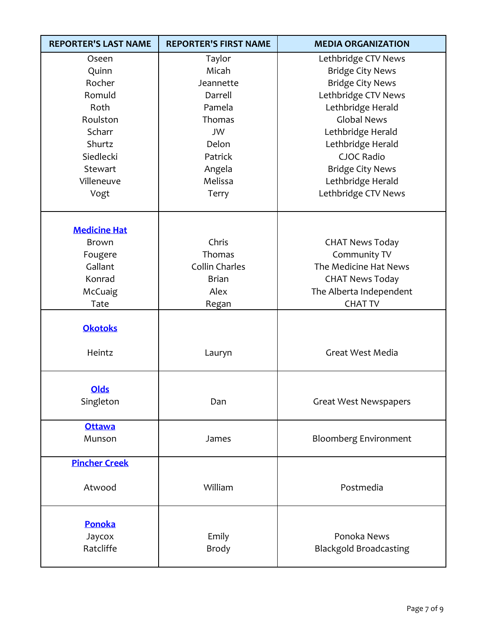| <b>REPORTER'S LAST NAME</b> | <b>REPORTER'S FIRST NAME</b> | <b>MEDIA ORGANIZATION</b>     |
|-----------------------------|------------------------------|-------------------------------|
| Oseen                       | Taylor                       | Lethbridge CTV News           |
| Quinn                       | Micah                        | <b>Bridge City News</b>       |
| Rocher                      | Jeannette                    | <b>Bridge City News</b>       |
| Romuld                      | Darrell                      | Lethbridge CTV News           |
| Roth                        | Pamela                       | Lethbridge Herald             |
| Roulston                    | Thomas                       | <b>Global News</b>            |
| Scharr                      | <b>JW</b>                    | Lethbridge Herald             |
| Shurtz                      | Delon                        | Lethbridge Herald             |
| Siedlecki                   | Patrick                      | <b>CJOC Radio</b>             |
| Stewart                     | Angela                       | <b>Bridge City News</b>       |
| Villeneuve                  | Melissa                      | Lethbridge Herald             |
| Vogt                        | Terry                        | Lethbridge CTV News           |
|                             |                              |                               |
| <b>Medicine Hat</b>         |                              |                               |
| <b>Brown</b>                | Chris                        | <b>CHAT News Today</b>        |
| Fougere                     | Thomas                       | Community TV                  |
| Gallant                     | Collin Charles               | The Medicine Hat News         |
| Konrad                      | <b>Brian</b>                 | <b>CHAT News Today</b>        |
| McCuaig                     | Alex                         | The Alberta Independent       |
| Tate                        | Regan                        | <b>CHAT TV</b>                |
|                             |                              |                               |
| <b>Okotoks</b>              |                              |                               |
| Heintz                      | Lauryn                       | Great West Media              |
|                             |                              |                               |
| <b>Olds</b>                 |                              |                               |
| Singleton                   | Dan                          | <b>Great West Newspapers</b>  |
| <b>Ottawa</b>               |                              |                               |
| Munson                      | James                        | <b>Bloomberg Environment</b>  |
| <b>Pincher Creek</b>        |                              |                               |
|                             |                              |                               |
| Atwood                      | William                      | Postmedia                     |
|                             |                              |                               |
| Ponoka                      |                              |                               |
| Jaycox                      | Emily                        | Ponoka News                   |
| Ratcliffe                   | Brody                        | <b>Blackgold Broadcasting</b> |
|                             |                              |                               |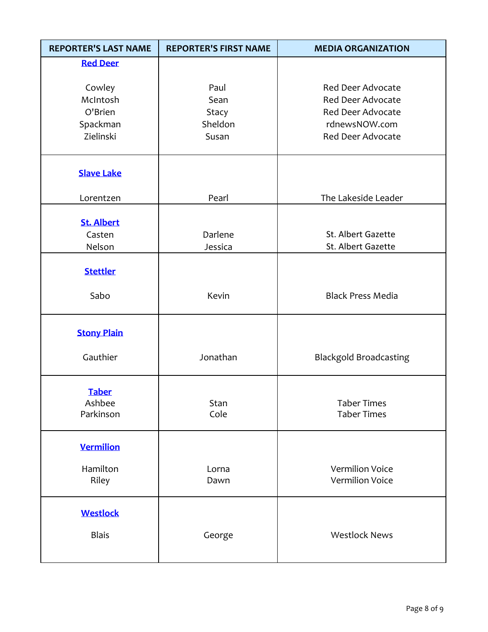| <b>REPORTER'S LAST NAME</b>           | <b>REPORTER'S FIRST NAME</b> | <b>MEDIA ORGANIZATION</b>                            |
|---------------------------------------|------------------------------|------------------------------------------------------|
| <b>Red Deer</b>                       |                              |                                                      |
| Cowley<br>McIntosh                    | Paul<br>Sean                 | <b>Red Deer Advocate</b><br><b>Red Deer Advocate</b> |
| O'Brien<br>Spackman                   | Stacy<br>Sheldon             | <b>Red Deer Advocate</b><br>rdnewsNOW.com            |
| Zielinski                             | Susan                        | <b>Red Deer Advocate</b>                             |
| <b>Slave Lake</b>                     |                              |                                                      |
| Lorentzen                             | Pearl                        | The Lakeside Leader                                  |
| <b>St. Albert</b><br>Casten<br>Nelson | Darlene<br>Jessica           | St. Albert Gazette<br>St. Albert Gazette             |
| <b>Stettler</b>                       |                              |                                                      |
| Sabo                                  | Kevin                        | <b>Black Press Media</b>                             |
| <b>Stony Plain</b>                    |                              |                                                      |
| Gauthier                              | Jonathan                     | <b>Blackgold Broadcasting</b>                        |
| <b>Taber</b><br>Ashbee<br>Parkinson   | Stan<br>Cole                 | <b>Taber Times</b><br><b>Taber Times</b>             |
| <b>Vermilion</b>                      |                              |                                                      |
| Hamilton<br>Riley                     | Lorna<br>Dawn                | <b>Vermilion Voice</b><br><b>Vermilion Voice</b>     |
| <b>Westlock</b><br><b>Blais</b>       | George                       | <b>Westlock News</b>                                 |